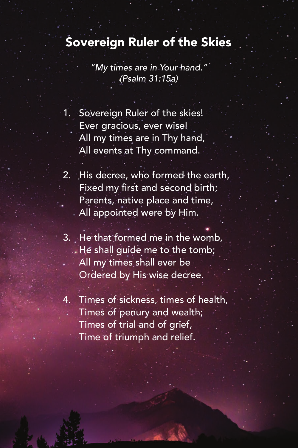## Sovereign Ruler of the Skies

*"My times are in Your hand." (Psalm 31:15a)*

- 1. Sovereign Ruler of the skies! Ever gracious, ever wise! All my times are in Thy hand, All events at Thy command.
- 2. His decree, who formed the earth, Fixed my first and second birth; Parents, native place and time, All appointed were by Him.
- 3. He that formed me in the womb, He shall guide me to the tomb; All my times shall ever be Ordered by His wise decree.
- 4. Times of sickness, times of health, Times of penury and wealth; Times of trial and of grief, Time of triumph and relief.